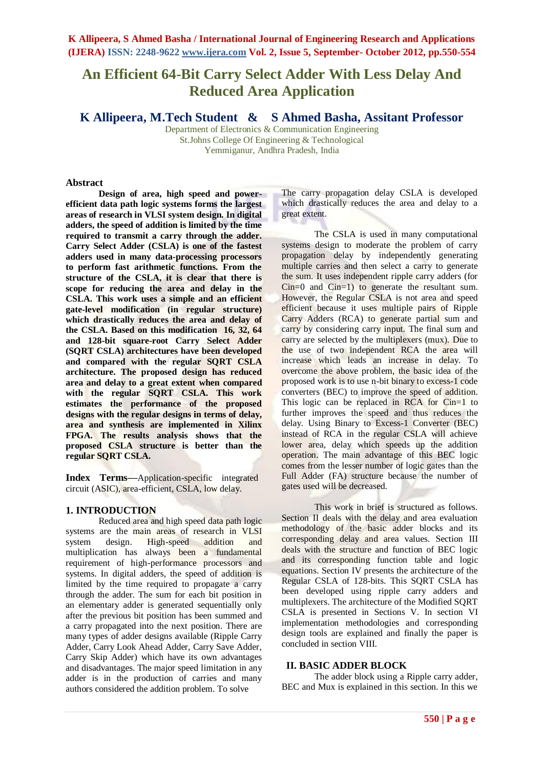# **An Efficient 64-Bit Carry Select Adder With Less Delay And Reduced Area Application**

**K Allipeera, M.Tech Student & S Ahmed Basha, Assitant Professor**

Department of Electronics & Communication Engineering St.Johns College Of Engineering & Technological Yemmiganur, Andhra Pradesh, India

#### **Abstract**

**Design of area, high speed and powerefficient data path logic systems forms the largest areas of research in VLSI system design. In digital adders, the speed of addition is limited by the time required to transmit a carry through the adder. Carry Select Adder (CSLA) is one of the fastest adders used in many data-processing processors to perform fast arithmetic functions. From the structure of the CSLA, it is clear that there is scope for reducing the area and delay in the CSLA. This work uses a simple and an efficient gate-level modification (in regular structure) which drastically reduces the area and delay of the CSLA. Based on this modification 16, 32, 64 and 128-bit square-root Carry Select Adder (SQRT CSLA) architectures have been developed and compared with the regular SQRT CSLA architecture. The proposed design has reduced area and delay to a great extent when compared with the regular SQRT CSLA. This work estimates the performance of the proposed designs with the regular designs in terms of delay, area and synthesis are implemented in Xilinx FPGA. The results analysis shows that the proposed CSLA structure is better than the regular SQRT CSLA.** 

**Index Terms—**Application-specific integrated circuit (ASIC), area-efficient, CSLA, low delay.

#### **1. INTRODUCTION**

Reduced area and high speed data path logic systems are the main areas of research in VLSI system design. High-speed addition and multiplication has always been a fundamental requirement of high-performance processors and systems. In digital adders, the speed of addition is limited by the time required to propagate a carry through the adder. The sum for each bit position in an elementary adder is generated sequentially only after the previous bit position has been summed and a carry propagated into the next position. There are many types of adder designs available (Ripple Carry Adder, Carry Look Ahead Adder, Carry Save Adder, Carry Skip Adder) which have its own advantages and disadvantages. The major speed limitation in any adder is in the production of carries and many authors considered the addition problem. To solve

The carry propagation delay CSLA is developed which drastically reduces the area and delay to a great extent.

The CSLA is used in many computational systems design to moderate the problem of carry propagation delay by independently generating multiple carries and then select a carry to generate the sum. It uses independent ripple carry adders (for Cin=0 and Cin=1) to generate the resultant sum. However, the Regular CSLA is not area and speed efficient because it uses multiple pairs of Ripple Carry Adders (RCA) to generate partial sum and carry by considering carry input. The final sum and carry are selected by the multiplexers (mux). Due to the use of two independent RCA the area will increase which leads an increase in delay. To overcome the above problem, the basic idea of the proposed work is to use n-bit binary to excess-1 code converters (BEC) to improve the speed of addition. This logic can be replaced in RCA for Cin=1 to further improves the speed and thus reduces the delay. Using Binary to Excess-1 Converter (BEC) instead of RCA in the regular CSLA will achieve lower area, delay which speeds up the addition operation. The main advantage of this BEC logic comes from the lesser number of logic gates than the Full Adder (FA) structure because the number of gates used will be decreased.

This work in brief is structured as follows. Section II deals with the delay and area evaluation methodology of the basic adder blocks and its corresponding delay and area values. Section III deals with the structure and function of BEC logic and its corresponding function table and logic equations. Section IV presents the architecture of the Regular CSLA of 128-bits. This SQRT CSLA has been developed using ripple carry adders and multiplexers. The architecture of the Modified SQRT CSLA is presented in Sections V. In section VI implementation methodologies and corresponding design tools are explained and finally the paper is concluded in section VIII.

#### **II. BASIC ADDER BLOCK**

The adder block using a Ripple carry adder, BEC and Mux is explained in this section. In this we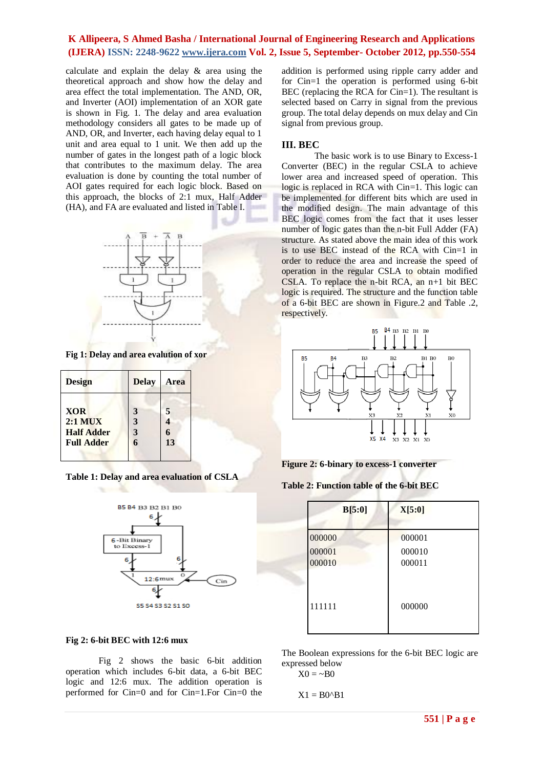calculate and explain the delay & area using the theoretical approach and show how the delay and area effect the total implementation. The AND, OR, and Inverter (AOI) implementation of an XOR gate is shown in Fig. 1. The delay and area evaluation methodology considers all gates to be made up of AND, OR, and Inverter, each having delay equal to 1 unit and area equal to 1 unit. We then add up the number of gates in the longest path of a logic block that contributes to the maximum delay. The area evaluation is done by counting the total number of AOI gates required for each logic block. Based on this approach, the blocks of 2:1 mux, Half Adder (HA), and FA are evaluated and listed in Table I.



**Fig 1: Delay and area evalution of xor**

| Design            | <b>Delay</b> | <b>Area</b> |
|-------------------|--------------|-------------|
| <b>XOR</b>        | 3            | 5           |
| $2:1$ MUX         | 3            |             |
| <b>Half Adder</b> | 3            |             |
| <b>Full Adder</b> |              | 13          |
|                   |              |             |

**Table 1: Delay and area evaluation of CSLA**



### **Fig 2: 6-bit BEC with 12:6 mux**

Fig 2 shows the basic 6-bit addition operation which includes 6-bit data, a 6-bit BEC logic and 12:6 mux. The addition operation is performed for Cin=0 and for Cin=1.For Cin=0 the

addition is performed using ripple carry adder and for Cin=1 the operation is performed using 6-bit BEC (replacing the RCA for Cin=1). The resultant is selected based on Carry in signal from the previous group. The total delay depends on mux delay and Cin signal from previous group.

### **III. BEC**

The basic work is to use Binary to Excess-1 Converter (BEC) in the regular CSLA to achieve lower area and increased speed of operation. This logic is replaced in RCA with Cin=1. This logic can be implemented for different bits which are used in the modified design. The main advantage of this BEC logic comes from the fact that it uses lesser number of logic gates than the n-bit Full Adder (FA) structure. As stated above the main idea of this work is to use BEC instead of the RCA with Cin=1 in order to reduce the area and increase the speed of operation in the regular CSLA to obtain modified CSLA. To replace the n-bit RCA, an n+1 bit BEC logic is required. The structure and the function table of a 6-bit BEC are shown in Figure.2 and Table .2, respectively.



**Figure 2: 6-binary to excess-1 converter**

**Table 2: Function table of the 6-bit BEC**

| B[5:0]           | X[5:0]           |
|------------------|------------------|
| 000000           | 000001           |
| 000001<br>000010 | 000010<br>000011 |
|                  |                  |
| 111111           | 000000           |

The Boolean expressions for the 6-bit BEC logic are expressed below

$$
X0 = \sim B0
$$

$$
X1 = B0^{\wedge}B1
$$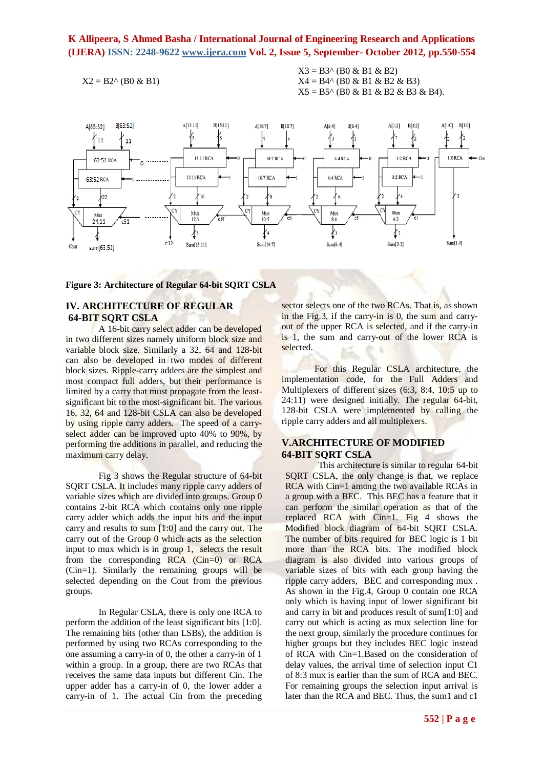$$
X2 = B2^{\wedge} (B0 \& B1)
$$

 $X3 = B3^{\circ}$  (B0 & B1 & B2)  $X4 = B4^{\wedge} (B0 \& B1 \& B2 \& B3)$  $X5 = B5^{\wedge}$  (B0 & B1 & B2 & B3 & B4).



**Figure 3: Architecture of Regular 64-bit SQRT CSLA**

### **IV. ARCHITECTURE OF REGULAR 64-BIT SQRT CSLA**

A 16-bit carry select adder can be developed in two different sizes namely uniform block size and variable block size. Similarly a 32, 64 and 128-bit can also be developed in two modes of different block sizes. Ripple-carry adders are the simplest and most compact full adders, but their performance is limited by a carry that must propagate from the leastsignificant bit to the most-significant bit. The various 16, 32, 64 and 128-bit CSLA can also be developed by using ripple carry adders. The speed of a carryselect adder can be improved upto 40% to 90%, by performing the additions in parallel, and reducing the maximum carry delay.

Fig 3 shows the Regular structure of 64-bit SORT CSLA. It includes many ripple carry adders of variable sizes which are divided into groups. Group 0 contains 2-bit RCA which contains only one ripple carry adder which adds the input bits and the input carry and results to sum [1:0] and the carry out. The carry out of the Group 0 which acts as the selection input to mux which is in group 1, selects the result from the corresponding RCA (Cin=0) or RCA (Cin=1). Similarly the remaining groups will be selected depending on the Cout from the previous groups.

In Regular CSLA, there is only one RCA to perform the addition of the least significant bits [1:0]. The remaining bits (other than LSBs), the addition is performed by using two RCAs corresponding to the one assuming a carry-in of 0, the other a carry-in of 1 within a group. In a group, there are two RCAs that receives the same data inputs but different Cin. The upper adder has a carry-in of 0, the lower adder a carry-in of 1. The actual Cin from the preceding

sector selects one of the two RCAs. That is, as shown in the Fig.3, if the carry-in is 0, the sum and carryout of the upper RCA is selected, and if the carry-in is 1, the sum and carry-out of the lower RCA is selected.

For this Regular CSLA architecture, the implementation code, for the Full Adders and Multiplexers of different sizes (6:3, 8:4, 10:5 up to 24:11) were designed initially. The regular 64-bit, 128-bit CSLA were implemented by calling the ripple carry adders and all multiplexers.

### **V.ARCHITECTURE OF MODIFIED 64-BIT SQRT CSLA**

This architecture is similar to regular 64-bit SQRT CSLA, the only change is that, we replace RCA with Cin=1 among the two available RCAs in a group with a BEC. This BEC has a feature that it can perform the similar operation as that of the replaced RCA with Cin=1. Fig 4 shows the Modified block diagram of 64-bit SQRT CSLA. The number of bits required for BEC logic is 1 bit more than the RCA bits. The modified block diagram is also divided into various groups of variable sizes of bits with each group having the ripple carry adders, BEC and corresponding mux . As shown in the Fig.4, Group 0 contain one RCA only which is having input of lower significant bit and carry in bit and produces result of sum[1:0] and carry out which is acting as mux selection line for the next group, similarly the procedure continues for higher groups but they includes BEC logic instead of RCA with Cin=1.Based on the consideration of delay values, the arrival time of selection input C1 of 8:3 mux is earlier than the sum of RCA and BEC. For remaining groups the selection input arrival is later than the RCA and BEC. Thus, the sum1 and c1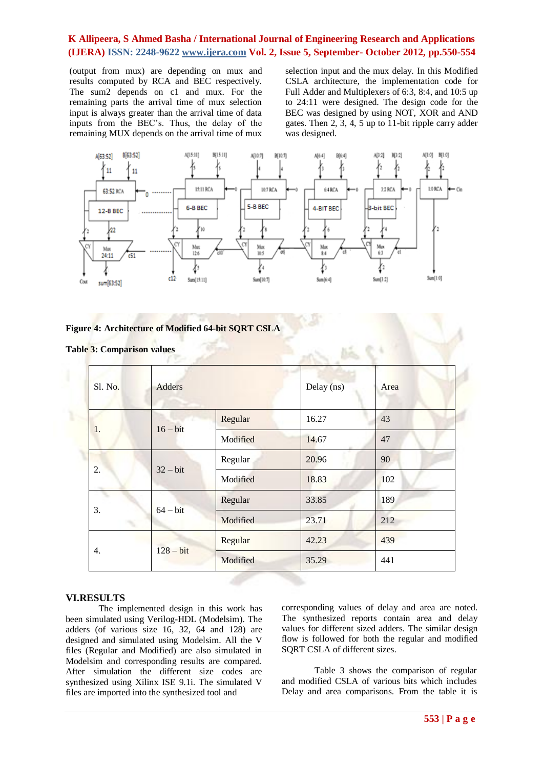(output from mux) are depending on mux and results computed by RCA and BEC respectively. The sum2 depends on c1 and mux. For the remaining parts the arrival time of mux selection input is always greater than the arrival time of data inputs from the BEC's. Thus, the delay of the remaining MUX depends on the arrival time of mux

selection input and the mux delay. In this Modified CSLA architecture, the implementation code for Full Adder and Multiplexers of 6:3, 8:4, and 10:5 up to 24:11 were designed. The design code for the BEC was designed by using NOT, XOR and AND gates. Then 2, 3, 4, 5 up to 11-bit ripple carry adder was designed.



### **Figure 4: Architecture of Modified 64-bit SQRT CSLA**

| Sl. No.           | Adders   |       | Delay (ns) | Area |
|-------------------|----------|-------|------------|------|
| $16 - bit$<br>1.  | Regular  | 16.27 | 43         |      |
|                   | Modified | 14.67 | 47         |      |
| $32 - bit$<br>2.  | Regular  | 20.96 | 90         |      |
|                   | Modified | 18.83 | 102        |      |
| 3.<br>$64 - bit$  | Regular  | 33.85 | 189        |      |
|                   | Modified | 23.71 | 212        |      |
| $128 - bit$<br>4. | Regular  | 42.23 | 439        |      |
|                   | Modified | 35.29 | 441        |      |

### **Table 3: Comparison values**

### **VI.RESULTS**

The implemented design in this work has been simulated using Verilog-HDL (Modelsim). The adders (of various size 16, 32, 64 and 128) are designed and simulated using Modelsim. All the V files (Regular and Modified) are also simulated in Modelsim and corresponding results are compared. After simulation the different size codes are synthesized using Xilinx ISE 9.1i. The simulated V files are imported into the synthesized tool and

corresponding values of delay and area are noted. The synthesized reports contain area and delay values for different sized adders. The similar design flow is followed for both the regular and modified SQRT CSLA of different sizes.

Table 3 shows the comparison of regular and modified CSLA of various bits which includes Delay and area comparisons. From the table it is